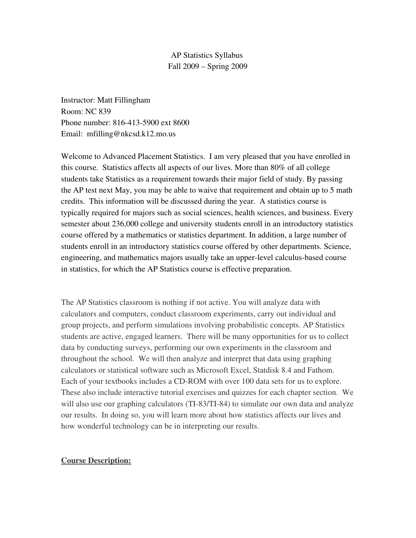AP Statistics Syllabus Fall 2009 – Spring 2009

Instructor: Matt Fillingham Room: NC 839 Phone number: 816-413-5900 ext 8600 Email: mfilling@nkcsd.k12.mo.us

Welcome to Advanced Placement Statistics. I am very pleased that you have enrolled in this course. Statistics affects all aspects of our lives. More than 80% of all college students take Statistics as a requirement towards their major field of study. By passing the AP test next May, you may be able to waive that requirement and obtain up to 5 math credits. This information will be discussed during the year. A statistics course is typically required for majors such as social sciences, health sciences, and business. Every semester about 236,000 college and university students enroll in an introductory statistics course offered by a mathematics or statistics department. In addition, a large number of students enroll in an introductory statistics course offered by other departments. Science, engineering, and mathematics majors usually take an upper-level calculus-based course in statistics, for which the AP Statistics course is effective preparation.

The AP Statistics classroom is nothing if not active. You will analyze data with calculators and computers, conduct classroom experiments, carry out individual and group projects, and perform simulations involving probabilistic concepts. AP Statistics students are active, engaged learners. There will be many opportunities for us to collect data by conducting surveys, performing our own experiments in the classroom and throughout the school. We will then analyze and interpret that data using graphing calculators or statistical software such as Microsoft Excel, Statdisk 8.4 and Fathom. Each of your textbooks includes a CD-ROM with over 100 data sets for us to explore. These also include interactive tutorial exercises and quizzes for each chapter section. We will also use our graphing calculators (TI-83/TI-84) to simulate our own data and analyze our results. In doing so, you will learn more about how statistics affects our lives and how wonderful technology can be in interpreting our results.

#### Course Description: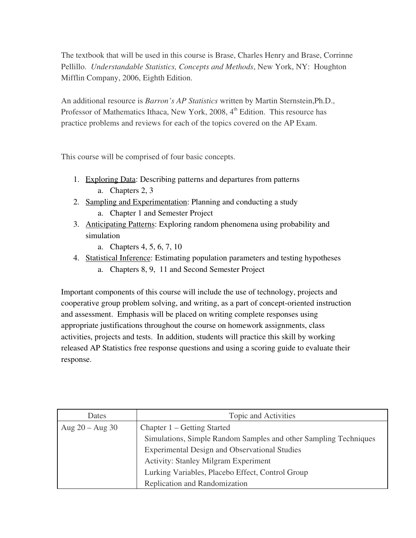The textbook that will be used in this course is Brase, Charles Henry and Brase, Corrinne Pellillo. *Understandable Statistics, Concepts and Methods*, New York, NY: Houghton Mifflin Company, 2006, Eighth Edition.

An additional resource is *Barron's AP Statistics* written by Martin Sternstein,Ph.D., Professor of Mathematics Ithaca, New York, 2008, 4<sup>th</sup> Edition. This resource has practice problems and reviews for each of the topics covered on the AP Exam.

This course will be comprised of four basic concepts.

- 1. Exploring Data: Describing patterns and departures from patterns a. Chapters 2, 3
- 2. Sampling and Experimentation: Planning and conducting a study a. Chapter 1 and Semester Project
- 3. Anticipating Patterns: Exploring random phenomena using probability and simulation
	- a. Chapters 4, 5, 6, 7, 10
- 4. Statistical Inference: Estimating population parameters and testing hypotheses
	- a. Chapters 8, 9, 11 and Second Semester Project

Important components of this course will include the use of technology, projects and cooperative group problem solving, and writing, as a part of concept-oriented instruction and assessment. Emphasis will be placed on writing complete responses using appropriate justifications throughout the course on homework assignments, class activities, projects and tests. In addition, students will practice this skill by working released AP Statistics free response questions and using a scoring guide to evaluate their response.

| Dates               | Topic and Activities                                             |
|---------------------|------------------------------------------------------------------|
| Aug $20 -$ Aug $30$ | Chapter 1 – Getting Started                                      |
|                     | Simulations, Simple Random Samples and other Sampling Techniques |
|                     | <b>Experimental Design and Observational Studies</b>             |
|                     | <b>Activity: Stanley Milgram Experiment</b>                      |
|                     | Lurking Variables, Placebo Effect, Control Group                 |
|                     | Replication and Randomization                                    |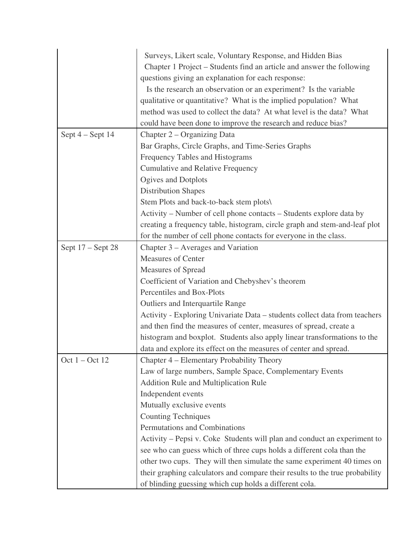|                    | Surveys, Likert scale, Voluntary Response, and Hidden Bias                   |
|--------------------|------------------------------------------------------------------------------|
|                    | Chapter 1 Project – Students find an article and answer the following        |
|                    | questions giving an explanation for each response:                           |
|                    | Is the research an observation or an experiment? Is the variable             |
|                    | qualitative or quantitative? What is the implied population? What            |
|                    | method was used to collect the data? At what level is the data? What         |
|                    | could have been done to improve the research and reduce bias?                |
| Sept $4 -$ Sept 14 | Chapter 2 – Organizing Data                                                  |
|                    | Bar Graphs, Circle Graphs, and Time-Series Graphs                            |
|                    | Frequency Tables and Histograms                                              |
|                    | <b>Cumulative and Relative Frequency</b>                                     |
|                    | Ogives and Dotplots                                                          |
|                    | <b>Distribution Shapes</b>                                                   |
|                    | Stem Plots and back-to-back stem plots\                                      |
|                    | Activity – Number of cell phone contacts – Students explore data by          |
|                    | creating a frequency table, histogram, circle graph and stem-and-leaf plot   |
|                    | for the number of cell phone contacts for everyone in the class.             |
| Sept 17 – Sept 28  | Chapter 3 – Averages and Variation                                           |
|                    | <b>Measures of Center</b>                                                    |
|                    | Measures of Spread                                                           |
|                    | Coefficient of Variation and Chebyshev's theorem                             |
|                    | Percentiles and Box-Plots                                                    |
|                    | <b>Outliers and Interquartile Range</b>                                      |
|                    | Activity - Exploring Univariate Data – students collect data from teachers   |
|                    | and then find the measures of center, measures of spread, create a           |
|                    | histogram and boxplot. Students also apply linear transformations to the     |
|                    | data and explore its effect on the measures of center and spread.            |
| Oct $1 - Oct$ 12   | Chapter 4 – Elementary Probability Theory                                    |
|                    | Law of large numbers, Sample Space, Complementary Events                     |
|                    | Addition Rule and Multiplication Rule                                        |
|                    | Independent events                                                           |
|                    | Mutually exclusive events                                                    |
|                    | <b>Counting Techniques</b>                                                   |
|                    | Permutations and Combinations                                                |
|                    | Activity – Pepsi v. Coke Students will plan and conduct an experiment to     |
|                    | see who can guess which of three cups holds a different cola than the        |
|                    | other two cups. They will then simulate the same experiment 40 times on      |
|                    | their graphing calculators and compare their results to the true probability |
|                    | of blinding guessing which cup holds a different cola.                       |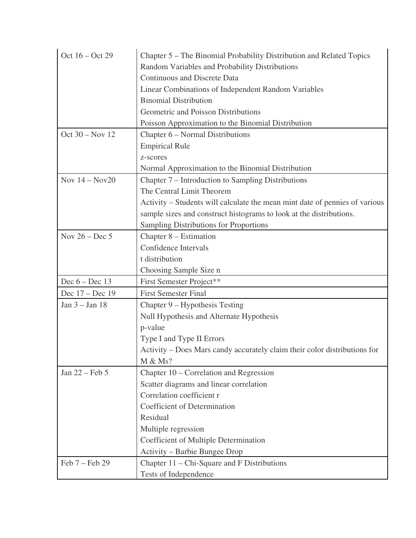| Oct 16 – Oct 29  | Chapter 5 – The Binomial Probability Distribution and Related Topics        |
|------------------|-----------------------------------------------------------------------------|
|                  | Random Variables and Probability Distributions                              |
|                  | <b>Continuous and Discrete Data</b>                                         |
|                  | Linear Combinations of Independent Random Variables                         |
|                  | <b>Binomial Distribution</b>                                                |
|                  | Geometric and Poisson Distributions                                         |
|                  | Poisson Approximation to the Binomial Distribution                          |
| Oct 30 – Nov 12  | Chapter 6 - Normal Distributions                                            |
|                  | <b>Empirical Rule</b>                                                       |
|                  | z-scores                                                                    |
|                  | Normal Approximation to the Binomial Distribution                           |
| Nov $14 - Nov20$ | Chapter 7 – Introduction to Sampling Distributions                          |
|                  | The Central Limit Theorem                                                   |
|                  | Activity – Students will calculate the mean mint date of pennies of various |
|                  | sample sizes and construct histograms to look at the distributions.         |
|                  | <b>Sampling Distributions for Proportions</b>                               |
| Nov $26 - Dec 5$ | Chapter 8 – Estimation                                                      |
|                  | Confidence Intervals                                                        |
|                  | t distribution                                                              |
|                  | Choosing Sample Size n                                                      |
| Dec $6 - Dec 13$ | First Semester Project**                                                    |
| Dec 17 – Dec 19  | <b>First Semester Final</b>                                                 |
| Jan 3 - Jan 18   | Chapter 9 – Hypothesis Testing                                              |
|                  | Null Hypothesis and Alternate Hypothesis                                    |
|                  | p-value                                                                     |
|                  | Type I and Type II Errors                                                   |
|                  | Activity – Does Mars candy accurately claim their color distributions for   |
|                  | M & Ms?                                                                     |
| Jan 22 – Feb 5   | Chapter 10 – Correlation and Regression                                     |
|                  | Scatter diagrams and linear correlation                                     |
|                  | Correlation coefficient r                                                   |
|                  | Coefficient of Determination                                                |
|                  | Residual                                                                    |
|                  | Multiple regression                                                         |
|                  | Coefficient of Multiple Determination                                       |
|                  | Activity – Barbie Bungee Drop                                               |
| Feb 7 - Feb 29   | Chapter 11 – Chi-Square and F Distributions                                 |
|                  |                                                                             |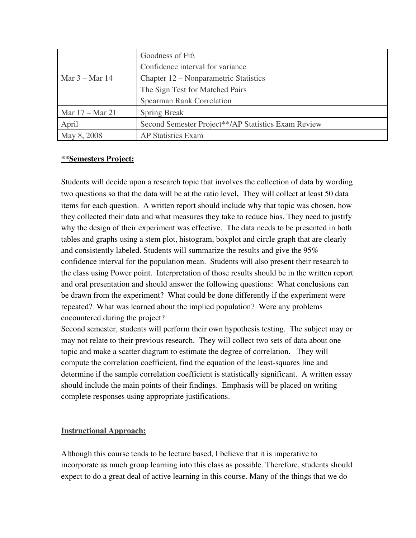|                  | Goodness of Fit                                     |
|------------------|-----------------------------------------------------|
|                  | Confidence interval for variance                    |
| Mar $3 -$ Mar 14 | Chapter 12 – Nonparametric Statistics               |
|                  | The Sign Test for Matched Pairs                     |
|                  | <b>Spearman Rank Correlation</b>                    |
| Mar 17 – Mar 21  | <b>Spring Break</b>                                 |
| April            | Second Semester Project**/AP Statistics Exam Review |
| May 8, 2008      | <b>AP Statistics Exam</b>                           |

### \*\*Semesters Project:

Students will decide upon a research topic that involves the collection of data by wording two questions so that the data will be at the ratio level. They will collect at least 50 data items for each question. A written report should include why that topic was chosen, how they collected their data and what measures they take to reduce bias. They need to justify why the design of their experiment was effective. The data needs to be presented in both tables and graphs using a stem plot, histogram, boxplot and circle graph that are clearly and consistently labeled. Students will summarize the results and give the 95% confidence interval for the population mean. Students will also present their research to the class using Power point. Interpretation of those results should be in the written report and oral presentation and should answer the following questions: What conclusions can be drawn from the experiment? What could be done differently if the experiment were repeated? What was learned about the implied population? Were any problems encountered during the project?

Second semester, students will perform their own hypothesis testing. The subject may or may not relate to their previous research. They will collect two sets of data about one topic and make a scatter diagram to estimate the degree of correlation. They will compute the correlation coefficient, find the equation of the least-squares line and determine if the sample correlation coefficient is statistically significant. A written essay should include the main points of their findings. Emphasis will be placed on writing complete responses using appropriate justifications.

# Instructional Approach:

Although this course tends to be lecture based, I believe that it is imperative to incorporate as much group learning into this class as possible. Therefore, students should expect to do a great deal of active learning in this course. Many of the things that we do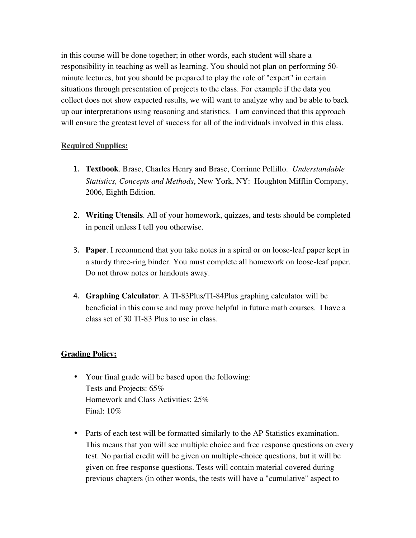in this course will be done together; in other words, each student will share a responsibility in teaching as well as learning. You should not plan on performing 50 minute lectures, but you should be prepared to play the role of "expert" in certain situations through presentation of projects to the class. For example if the data you collect does not show expected results, we will want to analyze why and be able to back up our interpretations using reasoning and statistics. I am convinced that this approach will ensure the greatest level of success for all of the individuals involved in this class.

# Required Supplies:

- 1. Textbook. Brase, Charles Henry and Brase, Corrinne Pellillo. *Understandable Statistics, Concepts and Methods*, New York, NY: Houghton Mifflin Company, 2006, Eighth Edition.
- 2. Writing Utensils. All of your homework, quizzes, and tests should be completed in pencil unless I tell you otherwise.
- 3. Paper. I recommend that you take notes in a spiral or on loose-leaf paper kept in a sturdy three-ring binder. You must complete all homework on loose-leaf paper. Do not throw notes or handouts away.
- 4. Graphing Calculator. A TI-83Plus/TI-84Plus graphing calculator will be beneficial in this course and may prove helpful in future math courses. I have a class set of 30 TI-83 Plus to use in class.

## **Grading Policy:**

- Your final grade will be based upon the following: Tests and Projects: 65% Homework and Class Activities: 25% Final: 10%
- Parts of each test will be formatted similarly to the AP Statistics examination. This means that you will see multiple choice and free response questions on every test. No partial credit will be given on multiplechoice questions, but it will be given on free response questions. Tests will contain material covered during previous chapters (in other words, the tests will have a "cumulative" aspect to